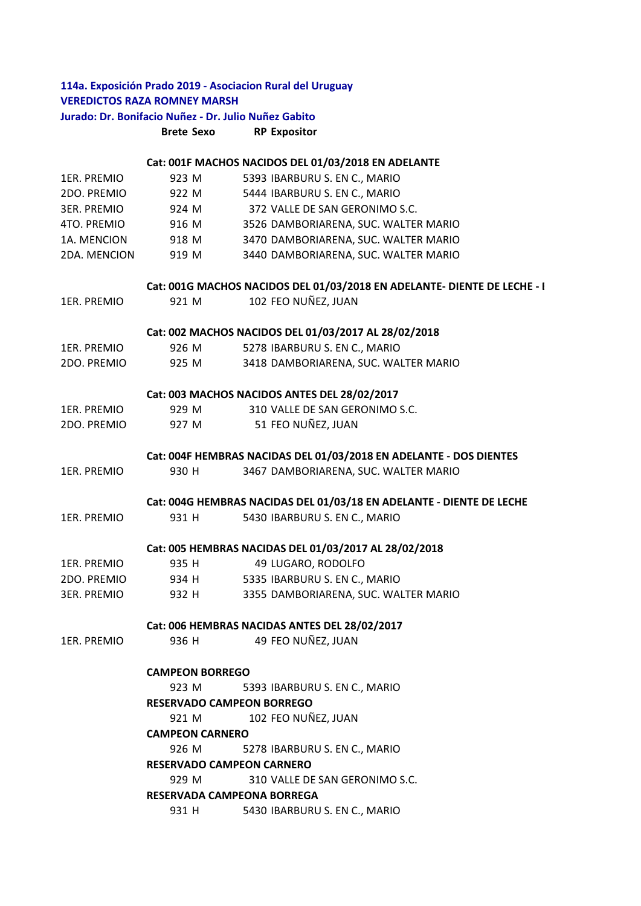## **Brete Sexo RP Expositor** 1ER. PREMIO 923 M 5393 IBARBURU S. EN C., MARIO 2DO. PREMIO 922 M 5444 IBARBURU S. EN C., MARIO 3ER. PREMIO 924 M 372 VALLE DE SAN GERONIMO S.C. 4TO. PREMIO 916 M 3526 DAMBORIARENA, SUC. WALTER MARIO 1A. MENCION 918 M 3470 DAMBORIARENA, SUC. WALTER MARIO 2DA. MENCION 919 M 3440 DAMBORIARENA, SUC. WALTER MARIO 1ER. PREMIO 921 M 102 FEO NUÑEZ, JUAN 1ER. PREMIO 926 M 5278 IBARBURU S. EN C., MARIO 2DO. PREMIO 925 M 3418 DAMBORIARENA, SUC. WALTER MARIO 1ER. PREMIO 929 M 310 VALLE DE SAN GERONIMO S.C. 2DO. PREMIO 927 M 51 FEO NUÑEZ, JUAN 1ER. PREMIO 930 H 3467 DAMBORIARENA, SUC. WALTER MARIO 1ER. PREMIO 931 H 5430 IBARBURU S. EN C., MARIO 1ER. PREMIO 935 H 49 LUGARO, RODOLFO 2DO. PREMIO 934 H 5335 IBARBURU S. EN C., MARIO 3ER. PREMIO 932 H 3355 DAMBORIARENA, SUC. WALTER MARIO 1ER. PREMIO 936 H 49 FEO NUÑEZ, JUAN 923 M 5393 IBARBURU S. EN C., MARIO 921 M 102 FEO NUÑEZ, JUAN 926 M 5278 IBARBURU S. EN C., MARIO 929 M 310 VALLE DE SAN GERONIMO S.C. 931 H 5430 IBARBURU S. EN C., MARIO **RESERVADO CAMPEON BORREGO CAMPEON CARNERO RESERVADO CAMPEON CARNERO RESERVADA CAMPEONA BORREGA Cat: 003 MACHOS NACIDOS ANTES DEL 28/02/2017 Cat: 004F HEMBRAS NACIDAS DEL 01/03/2018 EN ADELANTE ‐ DOS DIENTES Cat: 004G HEMBRAS NACIDAS DEL 01/03/18 EN ADELANTE ‐ DIENTE DE LECHE Cat: 005 HEMBRAS NACIDAS DEL 01/03/2017 AL 28/02/2018 Cat: 006 HEMBRAS NACIDAS ANTES DEL 28/02/2017 CAMPEON BORREGO 114a. Exposición Prado 2019 ‐ Asociacion Rural del Uruguay VEREDICTOS RAZA ROMNEY MARSH Jurado: Dr. Bonifacio Nuñez ‐ Dr. Julio Nuñez Gabito Cat: 001F MACHOS NACIDOS DEL 01/03/2018 EN ADELANTE Cat: 001G MACHOS NACIDOS DEL 01/03/2018 EN ADELANTE‐ DIENTE DE LECHE ‐ B Cat: 002 MACHOS NACIDOS DEL 01/03/2017 AL 28/02/2018**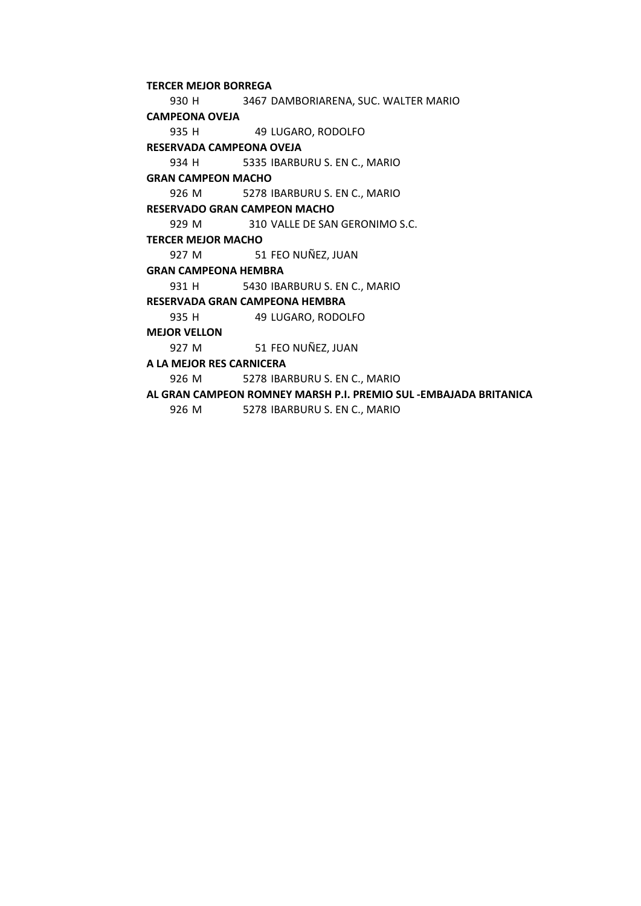930 H 3467 DAMBORIARENA, SUC. WALTER MARIO 935 H 49 LUGARO, RODOLFO 934 H 5335 IBARBURU S. EN C., MARIO 926 M 5278 IBARBURU S. EN C., MARIO 929 M 310 VALLE DE SAN GERONIMO S.C. 927 M 51 FEO NUÑEZ, JUAN 931 H 5430 IBARBURU S. EN C., MARIO 935 H 49 LUGARO, RODOLFO 927 M 51 FEO NUÑEZ, JUAN 926 M 5278 IBARBURU S. EN C., MARIO **MEJOR VELLON A LA MEJOR RES CARNICERA AL GRAN CAMPEON ROMNEY MARSH P.I. PREMIO SUL ‐EMBAJADA BRITANICA RESERVADA CAMPEONA OVEJA GRAN CAMPEON MACHO RESERVADO GRAN CAMPEON MACHO TERCER MEJOR MACHO GRAN CAMPEONA HEMBRA RESERVADA GRAN CAMPEONA HEMBRA TERCER MEJOR BORREGA CAMPEONA OVEJA** 

926 M 5278 IBARBURU S. EN C., MARIO